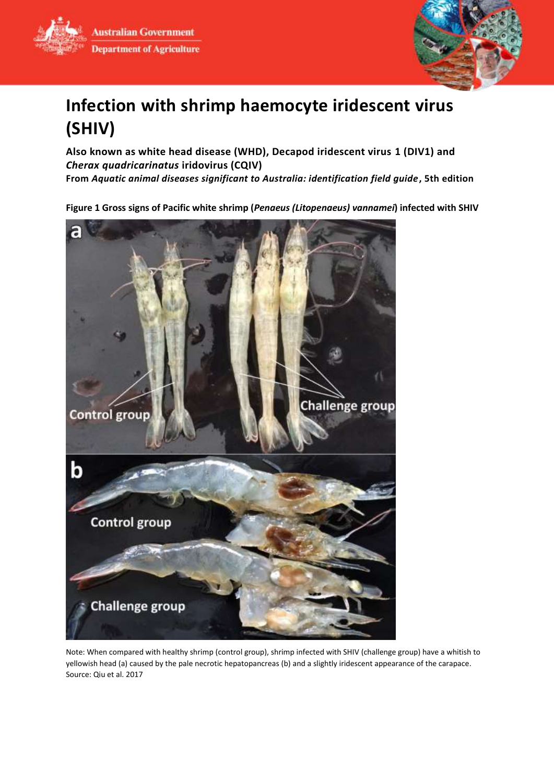**Australian Government Department of Agriculture** 



# **Infection with shrimp haemocyte iridescent virus (SHIV)**

**Also known as white head disease (WHD), Decapod iridescent virus 1 (DIV1) and**  *Cherax quadricarinatus* **iridovirus (CQIV) From** *Aquatic animal diseases significant to Australia: identification field guide***, 5th edition**

**Figure 1 Gross signs of Pacific white shrimp (***Penaeus (Litopenaeus) vannamei***) infected with SHIV**



Note: When compared with healthy shrimp (control group), shrimp infected with SHIV (challenge group) have a whitish to yellowish head (a) caused by the pale necrotic hepatopancreas (b) and a slightly iridescent appearance of the carapace. Source: Qiu et al. 2017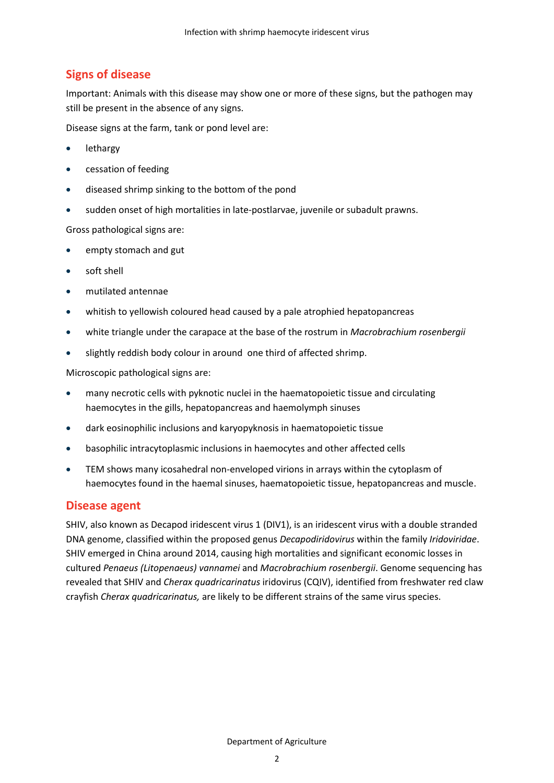# **Signs of disease**

Important: Animals with this disease may show one or more of these signs, but the pathogen may still be present in the absence of any signs.

Disease signs at the farm, tank or pond level are:

- lethargy
- **•** cessation of feeding
- diseased shrimp sinking to the bottom of the pond
- sudden onset of high mortalities in late-postlarvae, juvenile or subadult prawns.

Gross pathological signs are:

- empty stomach and gut
- **•** soft shell
- mutilated antennae
- whitish to yellowish coloured head caused by a pale atrophied hepatopancreas
- white triangle under the carapace at the base of the rostrum in *Macrobrachium rosenbergii*
- slightly reddish body colour in around one third of affected shrimp.

Microscopic pathological signs are:

- many necrotic cells with pyknotic nuclei in the haematopoietic tissue and circulating haemocytes in the gills, hepatopancreas and haemolymph sinuses
- dark eosinophilic inclusions and karyopyknosis in haematopoietic tissue
- basophilic intracytoplasmic inclusions in haemocytes and other affected cells
- TEM shows many icosahedral non-enveloped virions in arrays within the cytoplasm of haemocytes found in the haemal sinuses, haematopoietic tissue, hepatopancreas and muscle.

# **Disease agent**

SHIV, also known as Decapod iridescent virus 1 (DIV1), is an iridescent virus with a double stranded DNA genome, classified within the proposed genus *Decapodiridovirus* within the family *Iridoviridae*. SHIV emerged in China around 2014, causing high mortalities and significant economic losses in cultured *Penaeus (Litopenaeus) vannamei* and *Macrobrachium rosenbergii*. Genome sequencing has revealed that SHIV and *Cherax quadricarinatus* iridovirus (CQIV), identified from freshwater red claw crayfish *Cherax quadricarinatus,* are likely to be different strains of the same virus species.

Department of Agriculture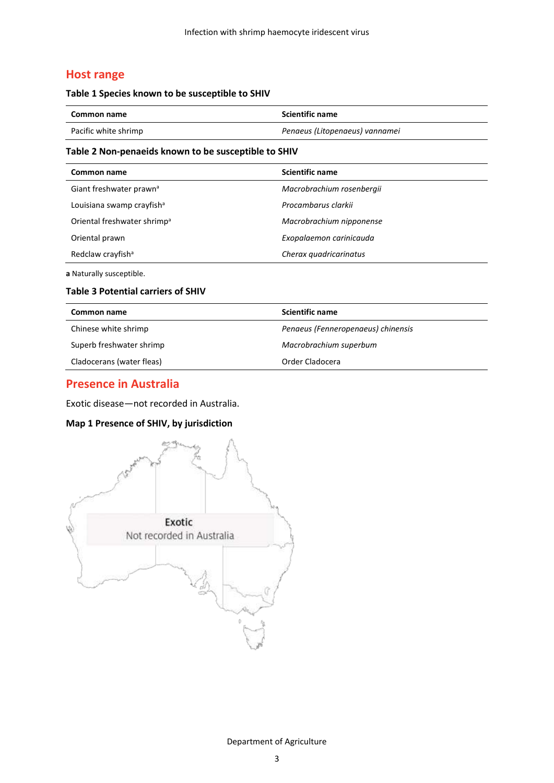# **Host range**

#### **Table 1 Species known to be susceptible to SHIV**

| Common name          | <b>Scientific name</b>         |
|----------------------|--------------------------------|
| Pacific white shrimp | Penaeus (Litopenaeus) vannamei |

### **Table 2 Non-penaeids known to be susceptible to SHIV**

| Common name                             | <b>Scientific name</b>    |
|-----------------------------------------|---------------------------|
| Giant freshwater prawn <sup>a</sup>     | Macrobrachium rosenbergii |
| Louisiana swamp crayfish <sup>a</sup>   | Procambarus clarkii       |
| Oriental freshwater shrimp <sup>a</sup> | Macrobrachium nipponense  |
| Oriental prawn                          | Exopalaemon carinicauda   |
| Redclaw crayfish <sup>a</sup>           | Cherax quadricarinatus    |
|                                         |                           |

**a** Naturally susceptible.

### **Table 3 Potential carriers of SHIV**

| Common name               | <b>Scientific name</b>             |
|---------------------------|------------------------------------|
| Chinese white shrimp      | Penaeus (Fenneropenaeus) chinensis |
| Superb freshwater shrimp  | Macrobrachium superbum             |
| Cladocerans (water fleas) | Order Cladocera                    |

### **Presence in Australia**

Exotic disease—not recorded in Australia.

### **Map 1 Presence of SHIV, by jurisdiction**

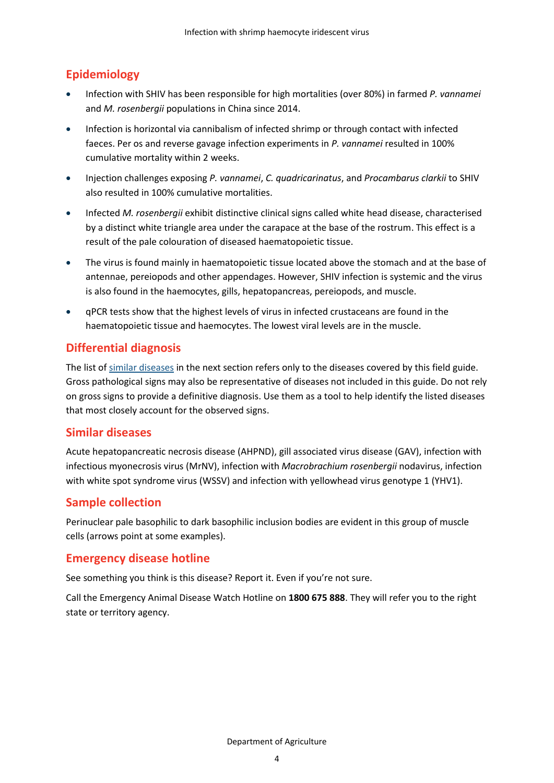# **Epidemiology**

- Infection with SHIV has been responsible for high mortalities (over 80%) in farmed *P. vannamei* and *M. rosenbergii* populations in China since 2014.
- Infection is horizontal via cannibalism of infected shrimp or through contact with infected faeces. Per os and reverse gavage infection experiments in *P. vannamei* resulted in 100% cumulative mortality within 2 weeks.
- Injection challenges exposing *P. vannamei*, *C. quadricarinatus*, and *Procambarus clarkii* to SHIV also resulted in 100% cumulative mortalities.
- Infected *M. rosenbergii* exhibit distinctive clinical signs called white head disease, characterised by a distinct white triangle area under the carapace at the base of the rostrum. This effect is a result of the pale colouration of diseased haematopoietic tissue.
- The virus is found mainly in haematopoietic tissue located above the stomach and at the base of antennae, pereiopods and other appendages. However, SHIV infection is systemic and the virus is also found in the haemocytes, gills, hepatopancreas, pereiopods, and muscle.
- qPCR tests show that the highest levels of virus in infected crustaceans are found in the haematopoietic tissue and haemocytes. The lowest viral levels are in the muscle.

# **Differential diagnosis**

The list of [similar diseases](#page-3-0) in the next section refers only to the diseases covered by this field guide. Gross pathological signs may also be representative of diseases not included in this guide. Do not rely on gross signs to provide a definitive diagnosis. Use them as a tool to help identify the listed diseases that most closely account for the observed signs.

# <span id="page-3-0"></span>**Similar diseases**

Acute hepatopancreatic necrosis disease (AHPND), gill associated virus disease (GAV), infection with infectious myonecrosis virus (MrNV), infection with *Macrobrachium rosenbergii* nodavirus, infection with white spot syndrome virus (WSSV) and infection with yellowhead virus genotype 1 (YHV1).

# **Sample collection**

Perinuclear pale basophilic to dark basophilic inclusion bodies are evident in this group of muscle cells (arrows point at some examples).

# **Emergency disease hotline**

See something you think is this disease? Report it. Even if you're not sure.

Call the Emergency Animal Disease Watch Hotline on **1800 675 888**. They will refer you to the right state or territory agency.

Department of Agriculture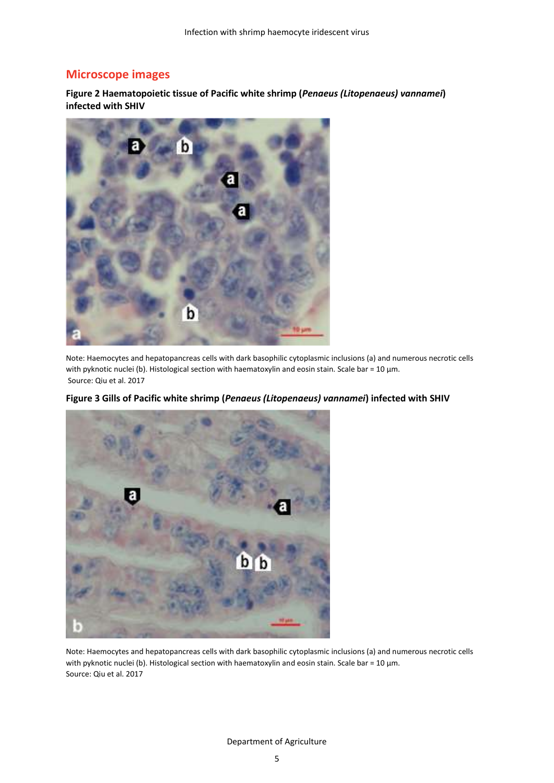# **Microscope images**

**Figure 2 Haematopoietic tissue of Pacific white shrimp (***Penaeus (Litopenaeus) vannamei***) infected with SHIV**



Note: Haemocytes and hepatopancreas cells with dark basophilic cytoplasmic inclusions (a) and numerous necrotic cells with pyknotic nuclei (b). Histological section with haematoxylin and eosin stain. Scale bar = 10 µm. Source: Qiu et al. 2017



**Figure 3 Gills of Pacific white shrimp (***Penaeus (Litopenaeus) vannamei***) infected with SHIV**

Note: Haemocytes and hepatopancreas cells with dark basophilic cytoplasmic inclusions (a) and numerous necrotic cells with pyknotic nuclei (b). Histological section with haematoxylin and eosin stain. Scale bar = 10 µm. Source: Qiu et al. 2017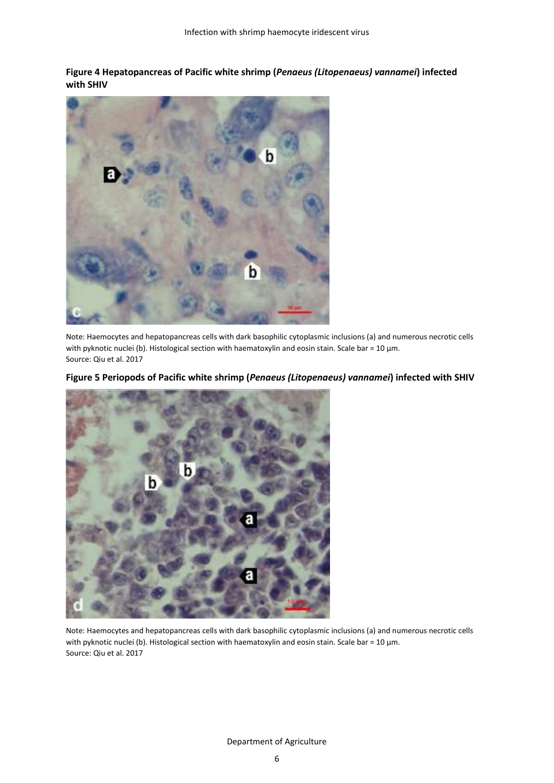**Figure 4 Hepatopancreas of Pacific white shrimp (***Penaeus (Litopenaeus) vannamei***) infected with SHIV**



Note: Haemocytes and hepatopancreas cells with dark basophilic cytoplasmic inclusions (a) and numerous necrotic cells with pyknotic nuclei (b). Histological section with haematoxylin and eosin stain. Scale bar = 10 μm. Source: Qiu et al. 2017



### **Figure 5 Periopods of Pacific white shrimp (***Penaeus (Litopenaeus) vannamei***) infected with SHIV**

Note: Haemocytes and hepatopancreas cells with dark basophilic cytoplasmic inclusions (a) and numerous necrotic cells with pyknotic nuclei (b). Histological section with haematoxylin and eosin stain. Scale bar = 10 µm. Source: Qiu et al. 2017